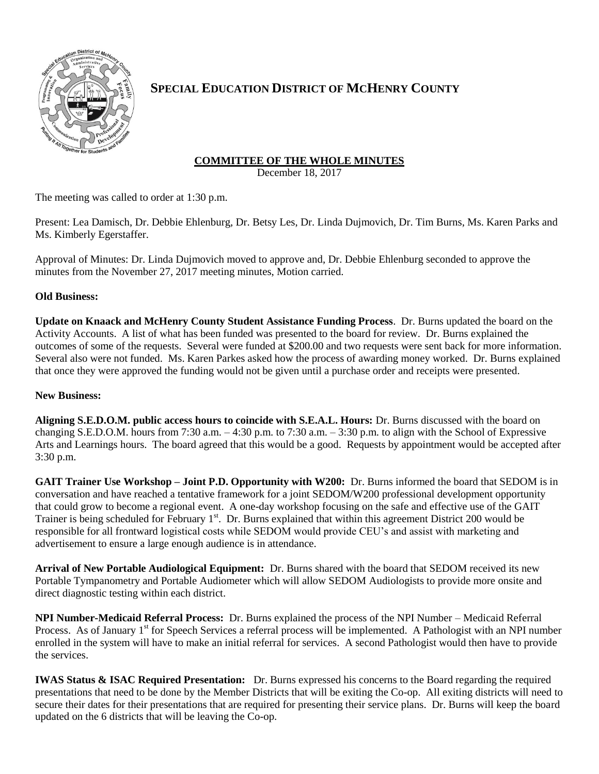

# **SPECIAL EDUCATION DISTRICT OF MCHENRY COUNTY**

## **COMMITTEE OF THE WHOLE MINUTES**

December 18, 2017

The meeting was called to order at 1:30 p.m.

Present: Lea Damisch, Dr. Debbie Ehlenburg, Dr. Betsy Les, Dr. Linda Dujmovich, Dr. Tim Burns, Ms. Karen Parks and Ms. Kimberly Egerstaffer.

Approval of Minutes: Dr. Linda Dujmovich moved to approve and, Dr. Debbie Ehlenburg seconded to approve the minutes from the November 27, 2017 meeting minutes, Motion carried.

### **Old Business:**

**Update on Knaack and McHenry County Student Assistance Funding Process**. Dr. Burns updated the board on the Activity Accounts. A list of what has been funded was presented to the board for review. Dr. Burns explained the outcomes of some of the requests. Several were funded at \$200.00 and two requests were sent back for more information. Several also were not funded. Ms. Karen Parkes asked how the process of awarding money worked. Dr. Burns explained that once they were approved the funding would not be given until a purchase order and receipts were presented.

### **New Business:**

**Aligning S.E.D.O.M. public access hours to coincide with S.E.A.L. Hours:** Dr. Burns discussed with the board on changing S.E.D.O.M. hours from 7:30 a.m.  $-4:30$  p.m. to 7:30 a.m.  $-3:30$  p.m. to align with the School of Expressive Arts and Learnings hours. The board agreed that this would be a good. Requests by appointment would be accepted after 3:30 p.m.

**GAIT Trainer Use Workshop – Joint P.D. Opportunity with W200:** Dr. Burns informed the board that SEDOM is in conversation and have reached a tentative framework for a joint SEDOM/W200 professional development opportunity that could grow to become a regional event. A one-day workshop focusing on the safe and effective use of the GAIT Trainer is being scheduled for February 1<sup>st</sup>. Dr. Burns explained that within this agreement District 200 would be responsible for all frontward logistical costs while SEDOM would provide CEU's and assist with marketing and advertisement to ensure a large enough audience is in attendance.

**Arrival of New Portable Audiological Equipment:** Dr. Burns shared with the board that SEDOM received its new Portable Tympanometry and Portable Audiometer which will allow SEDOM Audiologists to provide more onsite and direct diagnostic testing within each district.

**NPI Number-Medicaid Referral Process:** Dr. Burns explained the process of the NPI Number – Medicaid Referral Process. As of January 1<sup>st</sup> for Speech Services a referral process will be implemented. A Pathologist with an NPI number enrolled in the system will have to make an initial referral for services. A second Pathologist would then have to provide the services.

**IWAS Status & ISAC Required Presentation:** Dr. Burns expressed his concerns to the Board regarding the required presentations that need to be done by the Member Districts that will be exiting the Co-op. All exiting districts will need to secure their dates for their presentations that are required for presenting their service plans. Dr. Burns will keep the board updated on the 6 districts that will be leaving the Co-op.